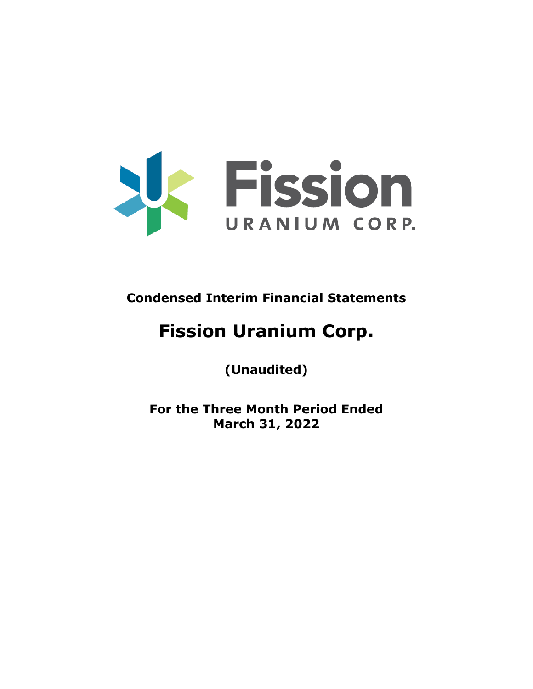

**Condensed Interim Financial Statements**

# **Fission Uranium Corp.**

**(Unaudited)**

**For the Three Month Period Ended March 31, 2022**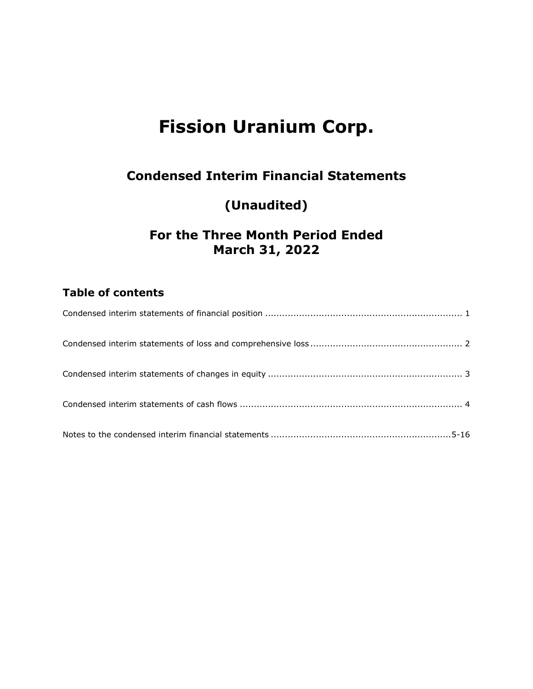## **Condensed Interim Financial Statements**

## **(Unaudited)**

## **For the Three Month Period Ended March 31, 2022**

## **Table of contents**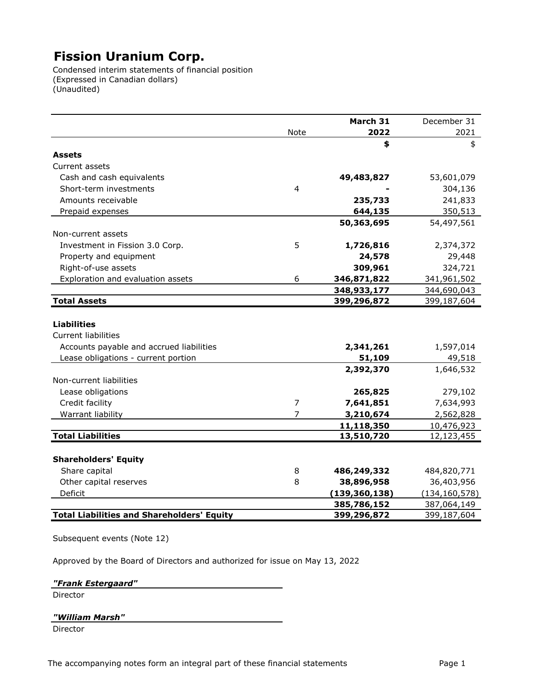Condensed interim statements of financial position (Expressed in Canadian dollars) (Unaudited)

|                                                   |                | March 31        | December 31     |
|---------------------------------------------------|----------------|-----------------|-----------------|
|                                                   | Note           | 2022            | 2021            |
|                                                   |                | \$              | \$              |
| <b>Assets</b>                                     |                |                 |                 |
| Current assets                                    |                |                 |                 |
| Cash and cash equivalents                         |                | 49,483,827      | 53,601,079      |
| Short-term investments                            | $\overline{4}$ |                 | 304,136         |
| Amounts receivable                                |                | 235,733         | 241,833         |
| Prepaid expenses                                  |                | 644,135         | 350,513         |
|                                                   |                | 50,363,695      | 54,497,561      |
| Non-current assets                                |                |                 |                 |
| Investment in Fission 3.0 Corp.                   | 5              | 1,726,816       | 2,374,372       |
| Property and equipment                            |                | 24,578          | 29,448          |
| Right-of-use assets                               |                | 309,961         | 324,721         |
| Exploration and evaluation assets                 | 6              | 346,871,822     | 341,961,502     |
|                                                   |                | 348,933,177     | 344,690,043     |
| <b>Total Assets</b>                               |                | 399,296,872     | 399,187,604     |
|                                                   |                |                 |                 |
| <b>Liabilities</b>                                |                |                 |                 |
| <b>Current liabilities</b>                        |                |                 |                 |
| Accounts payable and accrued liabilities          |                | 2,341,261       | 1,597,014       |
| Lease obligations - current portion               |                | 51,109          | 49,518          |
|                                                   |                | 2,392,370       | 1,646,532       |
| Non-current liabilities                           |                |                 |                 |
| Lease obligations                                 |                | 265,825         | 279,102         |
| Credit facility                                   | $\overline{7}$ | 7,641,851       | 7,634,993       |
| Warrant liability                                 | $\overline{7}$ | 3,210,674       | 2,562,828       |
|                                                   |                | 11,118,350      | 10,476,923      |
| <b>Total Liabilities</b>                          |                | 13,510,720      | 12,123,455      |
|                                                   |                |                 |                 |
| <b>Shareholders' Equity</b>                       |                |                 |                 |
| Share capital                                     |                |                 |                 |
|                                                   | 8              | 486,249,332     | 484,820,771     |
| Other capital reserves                            | 8              | 38,896,958      | 36,403,956      |
| Deficit                                           |                | (139, 360, 138) | (134, 160, 578) |
|                                                   |                | 385,786,152     | 387,064,149     |
| <b>Total Liabilities and Shareholders' Equity</b> |                | 399,296,872     | 399,187,604     |

Subsequent events (Note 12)

Approved by the Board of Directors and authorized for issue on May 13, 2022

*"Frank Estergaard"*

Director

*"William Marsh"*

Director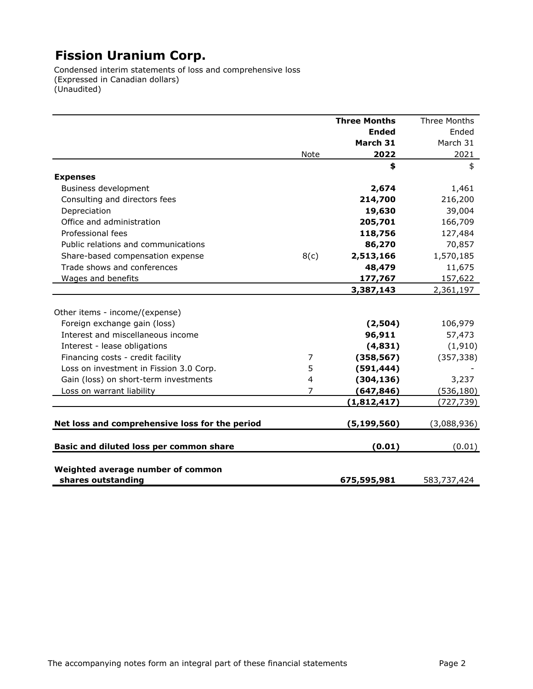Condensed interim statements of loss and comprehensive loss (Expressed in Canadian dollars) (Unaudited)

|                                                         |                | <b>Three Months</b> | Three Months |
|---------------------------------------------------------|----------------|---------------------|--------------|
|                                                         |                | <b>Ended</b>        | Ended        |
|                                                         |                | March 31            | March 31     |
|                                                         | Note           | 2022                | 2021         |
|                                                         |                | \$                  | \$           |
| <b>Expenses</b>                                         |                |                     |              |
| Business development                                    |                | 2,674               | 1,461        |
| Consulting and directors fees                           |                | 214,700             | 216,200      |
| Depreciation                                            |                | 19,630              | 39,004       |
| Office and administration                               |                | 205,701             | 166,709      |
| Professional fees                                       |                | 118,756             | 127,484      |
| Public relations and communications                     |                | 86,270              | 70,857       |
| Share-based compensation expense                        | 8(c)           | 2,513,166           | 1,570,185    |
| Trade shows and conferences                             |                | 48,479              | 11,675       |
| Wages and benefits                                      |                | 177,767             | 157,622      |
|                                                         |                | 3,387,143           | 2,361,197    |
|                                                         |                |                     |              |
| Other items - income/(expense)                          |                |                     |              |
| Foreign exchange gain (loss)                            |                | (2,504)             | 106,979      |
| Interest and miscellaneous income                       |                | 96,911              | 57,473       |
| Interest - lease obligations                            |                | (4,831)             | (1, 910)     |
| Financing costs - credit facility                       | 7              | (358, 567)          | (357, 338)   |
| Loss on investment in Fission 3.0 Corp.                 | 5              | (591, 444)          |              |
| Gain (loss) on short-term investments                   | $\overline{4}$ | (304, 136)          | 3,237        |
| Loss on warrant liability                               | 7              | (647, 846)          | (536, 180)   |
|                                                         |                | (1,812,417)         | (727,739)    |
| Net loss and comprehensive loss for the period          |                | (5, 199, 560)       | (3,088,936)  |
| Basic and diluted loss per common share                 |                | (0.01)              | (0.01)       |
| Weighted average number of common<br>shares outstanding |                | 675,595,981         | 583,737,424  |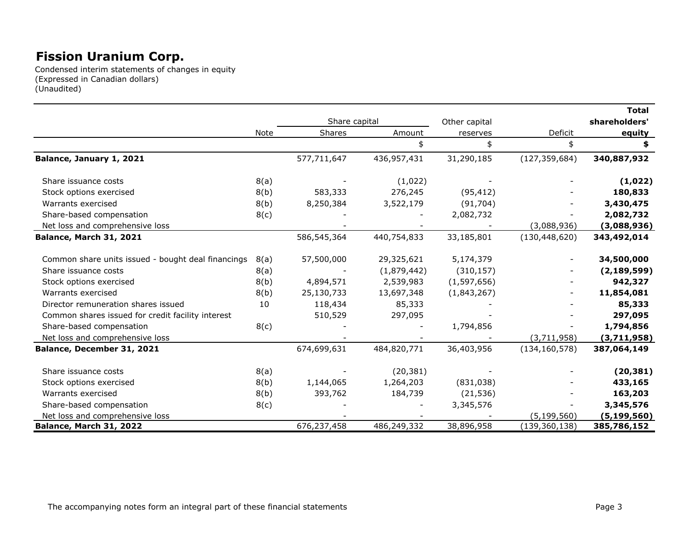Condensed interim statements of changes in equity (Expressed in Canadian dollars) (Unaudited)

|                                                    |      | Share capital |             | Other capital |                 | <b>Total</b><br>shareholders' |
|----------------------------------------------------|------|---------------|-------------|---------------|-----------------|-------------------------------|
|                                                    | Note | Shares        | Amount      | reserves      | Deficit         | equity                        |
|                                                    |      |               | \$          | \$            | \$              |                               |
| Balance, January 1, 2021                           |      | 577,711,647   | 436,957,431 | 31,290,185    | (127, 359, 684) | 340,887,932                   |
| Share issuance costs                               | 8(a) |               | (1,022)     |               |                 | (1,022)                       |
| Stock options exercised                            | 8(b) | 583,333       | 276,245     | (95, 412)     |                 | 180,833                       |
| Warrants exercised                                 | 8(b) | 8,250,384     | 3,522,179   | (91, 704)     |                 | 3,430,475                     |
| Share-based compensation                           | 8(c) |               |             | 2,082,732     |                 | 2,082,732                     |
| Net loss and comprehensive loss                    |      |               |             |               | (3,088,936)     | (3,088,936)                   |
| Balance, March 31, 2021                            |      | 586,545,364   | 440,754,833 | 33,185,801    | (130, 448, 620) | 343,492,014                   |
| Common share units issued - bought deal financings | 8(a) | 57,500,000    | 29,325,621  | 5,174,379     |                 | 34,500,000                    |
| Share issuance costs                               | 8(a) |               | (1,879,442) | (310, 157)    |                 | (2, 189, 599)                 |
| Stock options exercised                            | 8(b) | 4,894,571     | 2,539,983   | (1, 597, 656) |                 | 942,327                       |
| Warrants exercised                                 | 8(b) | 25,130,733    | 13,697,348  | (1,843,267)   |                 | 11,854,081                    |
| Director remuneration shares issued                | 10   | 118,434       | 85,333      |               |                 | 85,333                        |
| Common shares issued for credit facility interest  |      | 510,529       | 297,095     |               |                 | 297,095                       |
| Share-based compensation                           | 8(c) |               |             | 1,794,856     |                 | 1,794,856                     |
| Net loss and comprehensive loss                    |      |               |             |               | (3,711,958)     | (3,711,958)                   |
| Balance, December 31, 2021                         |      | 674,699,631   | 484,820,771 | 36,403,956    | (134, 160, 578) | 387,064,149                   |
| Share issuance costs                               | 8(a) |               | (20, 381)   |               |                 | (20, 381)                     |
| Stock options exercised                            | 8(b) | 1,144,065     | 1,264,203   | (831,038)     |                 | 433,165                       |
| Warrants exercised                                 | 8(b) | 393,762       | 184,739     | (21, 536)     |                 | 163,203                       |
| Share-based compensation                           | 8(c) |               |             | 3,345,576     |                 | 3,345,576                     |
| Net loss and comprehensive loss                    |      |               |             |               | (5, 199, 560)   | (5, 199, 560)                 |
| Balance, March 31, 2022                            |      | 676,237,458   | 486,249,332 | 38,896,958    | (139, 360, 138) | 385,786,152                   |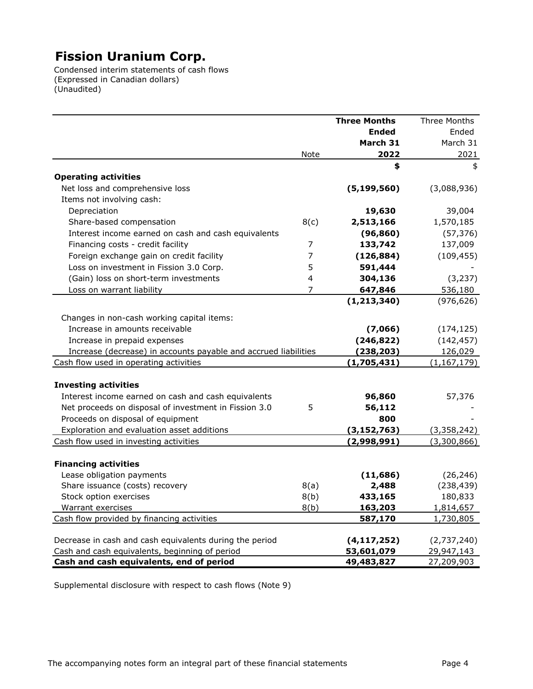Condensed interim statements of cash flows (Expressed in Canadian dollars) (Unaudited)

|                                                                 |                | <b>Three Months</b> | Three Months  |
|-----------------------------------------------------------------|----------------|---------------------|---------------|
|                                                                 |                | <b>Ended</b>        | Ended         |
|                                                                 |                | March 31            | March 31      |
|                                                                 | Note           | 2022                | 2021          |
|                                                                 |                | \$                  | \$            |
| <b>Operating activities</b>                                     |                |                     |               |
| Net loss and comprehensive loss                                 |                | (5, 199, 560)       | (3,088,936)   |
| Items not involving cash:                                       |                |                     |               |
| Depreciation                                                    |                | 19,630              | 39,004        |
| Share-based compensation                                        | 8(c)           | 2,513,166           | 1,570,185     |
| Interest income earned on cash and cash equivalents             |                | (96, 860)           | (57, 376)     |
| Financing costs - credit facility                               | $\overline{7}$ | 133,742             | 137,009       |
| Foreign exchange gain on credit facility                        | $\overline{7}$ | (126, 884)          | (109, 455)    |
| Loss on investment in Fission 3.0 Corp.                         | 5              | 591,444             |               |
| (Gain) loss on short-term investments                           | 4              | 304,136             | (3, 237)      |
| Loss on warrant liability                                       | $\overline{7}$ | 647,846             | 536,180       |
|                                                                 |                | (1, 213, 340)       | (976, 626)    |
| Changes in non-cash working capital items:                      |                |                     |               |
| Increase in amounts receivable                                  |                | (7,066)             | (174, 125)    |
| Increase in prepaid expenses                                    |                | (246, 822)          | (142, 457)    |
| Increase (decrease) in accounts payable and accrued liabilities |                | (238, 203)          | 126,029       |
| Cash flow used in operating activities                          |                | (1,705,431)         | (1, 167, 179) |
|                                                                 |                |                     |               |
| <b>Investing activities</b>                                     |                |                     |               |
| Interest income earned on cash and cash equivalents             |                | 96,860              | 57,376        |
| Net proceeds on disposal of investment in Fission 3.0           | 5              | 56,112              |               |
| Proceeds on disposal of equipment                               |                | 800                 |               |
| Exploration and evaluation asset additions                      |                | (3, 152, 763)       | (3,358,242)   |
| Cash flow used in investing activities                          |                | (2,998,991)         | (3,300,866)   |
|                                                                 |                |                     |               |
| <b>Financing activities</b>                                     |                |                     |               |
| Lease obligation payments                                       |                | (11, 686)           | (26, 246)     |
| Share issuance (costs) recovery                                 | 8(a)           | 2,488               | (238, 439)    |
| Stock option exercises                                          | 8(b)           | 433,165             | 180,833       |
| Warrant exercises                                               | 8(b)           | 163,203             | 1,814,657     |
| Cash flow provided by financing activities                      |                | 587,170             | 1,730,805     |
| Decrease in cash and cash equivalents during the period         |                | (4, 117, 252)       | (2,737,240)   |
| Cash and cash equivalents, beginning of period                  |                | 53,601,079          | 29,947,143    |
| Cash and cash equivalents, end of period                        |                | 49,483,827          | 27,209,903    |

Supplemental disclosure with respect to cash flows (Note 9)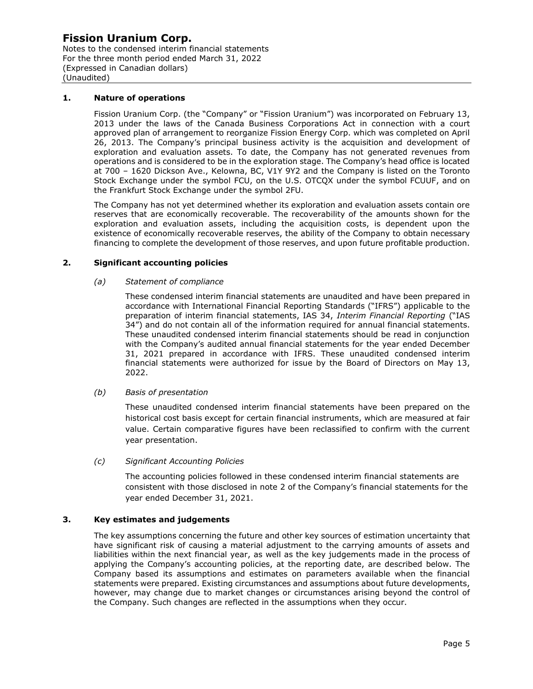Notes to the condensed interim financial statements For the three month period ended March 31, 2022 (Expressed in Canadian dollars) (Unaudited)

#### **1. Nature of operations**

Fission Uranium Corp. (the "Company" or "Fission Uranium") was incorporated on February 13, 2013 under the laws of the Canada Business Corporations Act in connection with a court approved plan of arrangement to reorganize Fission Energy Corp. which was completed on April 26, 2013. The Company's principal business activity is the acquisition and development of exploration and evaluation assets. To date, the Company has not generated revenues from operations and is considered to be in the exploration stage. The Company's head office is located at 700 – 1620 Dickson Ave., Kelowna, BC, V1Y 9Y2 and the Company is listed on the Toronto Stock Exchange under the symbol FCU, on the U.S. OTCQX under the symbol FCUUF, and on the Frankfurt Stock Exchange under the symbol 2FU.

The Company has not yet determined whether its exploration and evaluation assets contain ore reserves that are economically recoverable. The recoverability of the amounts shown for the exploration and evaluation assets, including the acquisition costs, is dependent upon the existence of economically recoverable reserves, the ability of the Company to obtain necessary financing to complete the development of those reserves, and upon future profitable production.

#### **2. Significant accounting policies**

#### *(a) Statement of compliance*

These condensed interim financial statements are unaudited and have been prepared in accordance with International Financial Reporting Standards ("IFRS") applicable to the preparation of interim financial statements, IAS 34, *Interim Financial Reporting* ("IAS 34") and do not contain all of the information required for annual financial statements. These unaudited condensed interim financial statements should be read in conjunction with the Company's audited annual financial statements for the year ended December 31, 2021 prepared in accordance with IFRS. These unaudited condensed interim financial statements were authorized for issue by the Board of Directors on May 13, 2022.

#### *(b) Basis of presentation*

These unaudited condensed interim financial statements have been prepared on the historical cost basis except for certain financial instruments, which are measured at fair value. Certain comparative figures have been reclassified to confirm with the current year presentation.

*(c) Significant Accounting Policies*

The accounting policies followed in these condensed interim financial statements are consistent with those disclosed in note 2 of the Company's financial statements for the year ended December 31, 2021.

#### **3. Key estimates and judgements**

The key assumptions concerning the future and other key sources of estimation uncertainty that have significant risk of causing a material adjustment to the carrying amounts of assets and liabilities within the next financial year, as well as the key judgements made in the process of applying the Company's accounting policies, at the reporting date, are described below. The Company based its assumptions and estimates on parameters available when the financial statements were prepared. Existing circumstances and assumptions about future developments, however, may change due to market changes or circumstances arising beyond the control of the Company. Such changes are reflected in the assumptions when they occur.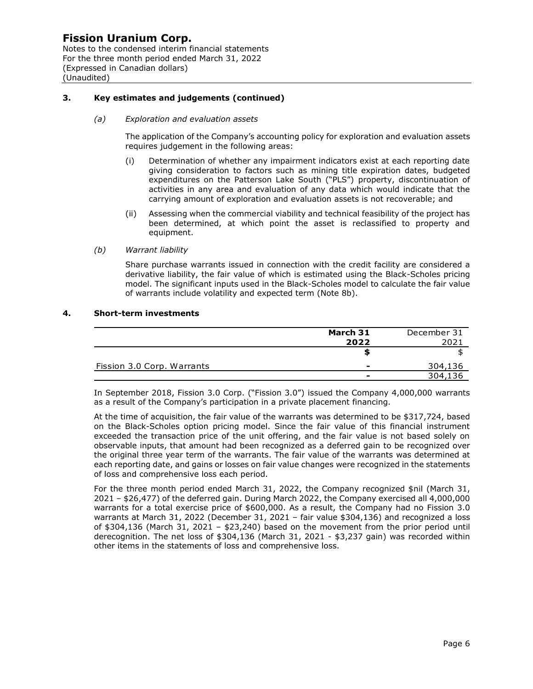Notes to the condensed interim financial statements For the three month period ended March 31, 2022 (Expressed in Canadian dollars) (Unaudited)

#### **3. Key estimates and judgements (continued)**

#### *(a) Exploration and evaluation assets*

The application of the Company's accounting policy for exploration and evaluation assets requires judgement in the following areas:

- (i) Determination of whether any impairment indicators exist at each reporting date giving consideration to factors such as mining title expiration dates, budgeted expenditures on the Patterson Lake South ("PLS") property, discontinuation of activities in any area and evaluation of any data which would indicate that the carrying amount of exploration and evaluation assets is not recoverable; and
- (ii) Assessing when the commercial viability and technical feasibility of the project has been determined, at which point the asset is reclassified to property and equipment.

*(b) Warrant liability* 

Share purchase warrants issued in connection with the credit facility are considered a derivative liability, the fair value of which is estimated using the Black-Scholes pricing model. The significant inputs used in the Black-Scholes model to calculate the fair value of warrants include volatility and expected term (Note 8b).

#### **4. Short-term investments**

|                            | March 31 | December 31 |
|----------------------------|----------|-------------|
|                            | 2022     | 2021        |
|                            |          |             |
| Fission 3.0 Corp. Warrants | -        | 304,136     |
|                            | -        |             |

In September 2018, Fission 3.0 Corp. ("Fission 3.0") issued the Company 4,000,000 warrants as a result of the Company's participation in a private placement financing.

At the time of acquisition, the fair value of the warrants was determined to be \$317,724, based on the Black-Scholes option pricing model. Since the fair value of this financial instrument exceeded the transaction price of the unit offering, and the fair value is not based solely on observable inputs, that amount had been recognized as a deferred gain to be recognized over the original three year term of the warrants. The fair value of the warrants was determined at each reporting date, and gains or losses on fair value changes were recognized in the statements of loss and comprehensive loss each period.

For the three month period ended March 31, 2022, the Company recognized \$nil (March 31, 2021 – \$26,477) of the deferred gain. During March 2022, the Company exercised all 4,000,000 warrants for a total exercise price of \$600,000. As a result, the Company had no Fission 3.0 warrants at March 31, 2022 (December 31, 2021 – fair value \$304,136) and recognized a loss of \$304,136 (March 31, 2021 – \$23,240) based on the movement from the prior period until derecognition. The net loss of \$304,136 (March 31, 2021 - \$3,237 gain) was recorded within other items in the statements of loss and comprehensive loss.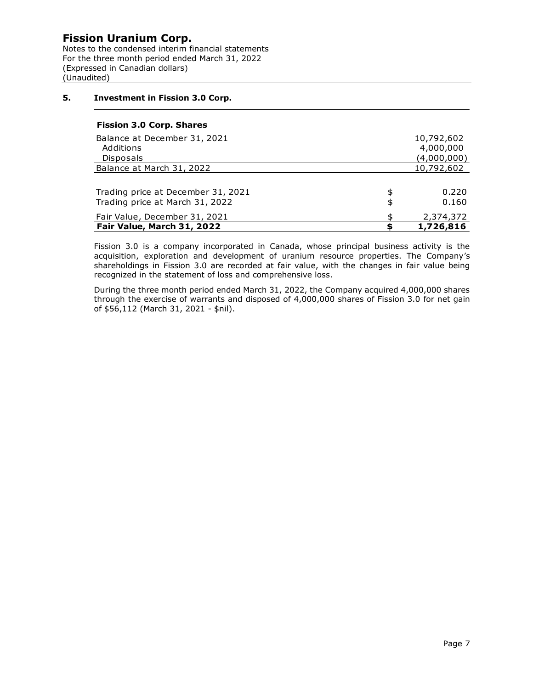Notes to the condensed interim financial statements For the three month period ended March 31, 2022 (Expressed in Canadian dollars) (Unaudited)

#### **5. Investment in Fission 3.0 Corp.**

#### **Fission 3.0 Corp. Shares**

| Fair Value, March 31, 2022                                            |          | 1,726,816      |
|-----------------------------------------------------------------------|----------|----------------|
| Fair Value, December 31, 2021                                         | ፍ        | 2,374,372      |
| Trading price at December 31, 2021<br>Trading price at March 31, 2022 | \$<br>\$ | 0.220<br>0.160 |
|                                                                       |          |                |
| Balance at March 31, 2022                                             |          | 10,792,602     |
| Disposals                                                             |          | (4,000,000)    |
| Additions                                                             |          | 4,000,000      |
| Balance at December 31, 2021                                          |          | 10,792,602     |
|                                                                       |          |                |

Fission 3.0 is a company incorporated in Canada, whose principal business activity is the acquisition, exploration and development of uranium resource properties. The Company's shareholdings in Fission 3.0 are recorded at fair value, with the changes in fair value being recognized in the statement of loss and comprehensive loss.

During the three month period ended March 31, 2022, the Company acquired 4,000,000 shares through the exercise of warrants and disposed of 4,000,000 shares of Fission 3.0 for net gain of \$56,112 (March 31, 2021 - \$nil).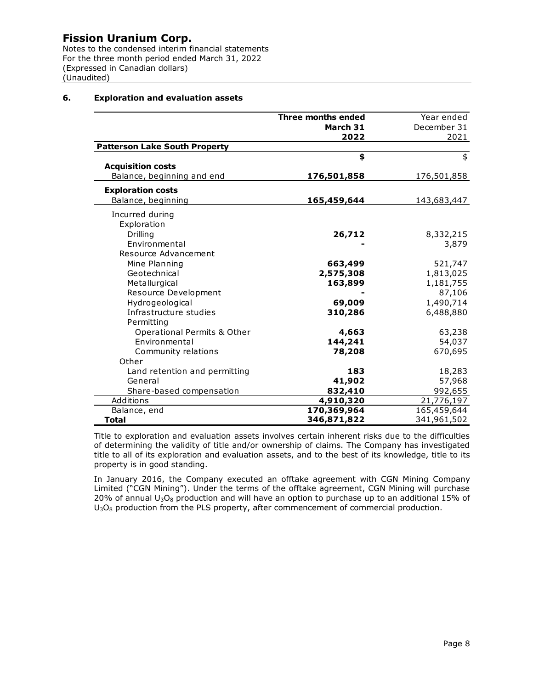Notes to the condensed interim financial statements For the three month period ended March 31, 2022 (Expressed in Canadian dollars) (Unaudited)

#### **6. Exploration and evaluation assets**

|                                        | Three months ended | Year ended  |
|----------------------------------------|--------------------|-------------|
|                                        | March 31           | December 31 |
|                                        | 2022               | 2021        |
| <b>Patterson Lake South Property</b>   |                    |             |
|                                        | \$                 | \$          |
| <b>Acquisition costs</b>               |                    |             |
| Balance, beginning and end             | 176,501,858        | 176,501,858 |
| <b>Exploration costs</b>               |                    |             |
| Balance, beginning                     | 165,459,644        | 143,683,447 |
| Incurred during                        |                    |             |
| Exploration                            |                    |             |
| Drilling                               | 26,712             | 8,332,215   |
| Environmental                          |                    | 3,879       |
| Resource Advancement                   |                    |             |
| Mine Planning                          | 663,499            | 521,747     |
| Geotechnical                           | 2,575,308          | 1,813,025   |
| Metallurgical                          | 163,899            | 1,181,755   |
| Resource Development                   |                    | 87,106      |
| Hydrogeological                        | 69,009             | 1,490,714   |
| Infrastructure studies                 | 310,286            | 6,488,880   |
| Permitting                             |                    |             |
| <b>Operational Permits &amp; Other</b> | 4,663              | 63,238      |
| Environmental                          | 144,241            | 54,037      |
| Community relations                    | 78,208             | 670,695     |
| Other                                  |                    |             |
| Land retention and permitting          | 183                | 18,283      |
| General                                | 41,902             | 57,968      |
| Share-based compensation               | 832,410            | 992,655     |
| Additions                              | 4,910,320          | 21,776,197  |
| Balance, end                           | 170,369,964        | 165,459,644 |
| <b>Total</b>                           | 346,871,822        | 341,961,502 |

Title to exploration and evaluation assets involves certain inherent risks due to the difficulties of determining the validity of title and/or ownership of claims. The Company has investigated title to all of its exploration and evaluation assets, and to the best of its knowledge, title to its property is in good standing.

In January 2016, the Company executed an offtake agreement with CGN Mining Company Limited ("CGN Mining"). Under the terms of the offtake agreement, CGN Mining will purchase 20% of annual  $U_3O_8$  production and will have an option to purchase up to an additional 15% of  $U_3O_8$  production from the PLS property, after commencement of commercial production.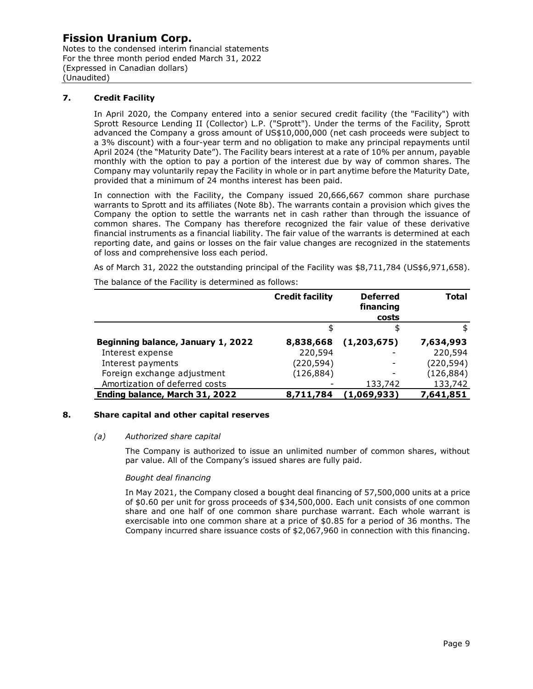Notes to the condensed interim financial statements For the three month period ended March 31, 2022 (Expressed in Canadian dollars) (Unaudited)

#### **7. Credit Facility**

In April 2020, the Company entered into a senior secured credit facility (the "Facility") with Sprott Resource Lending II (Collector) L.P. ("Sprott"). Under the terms of the Facility, Sprott advanced the Company a gross amount of US\$10,000,000 (net cash proceeds were subject to a 3% discount) with a four-year term and no obligation to make any principal repayments until April 2024 (the "Maturity Date"). The Facility bears interest at a rate of 10% per annum, payable monthly with the option to pay a portion of the interest due by way of common shares. The Company may voluntarily repay the Facility in whole or in part anytime before the Maturity Date, provided that a minimum of 24 months interest has been paid.

In connection with the Facility, the Company issued 20,666,667 common share purchase warrants to Sprott and its affiliates (Note 8b). The warrants contain a provision which gives the Company the option to settle the warrants net in cash rather than through the issuance of common shares. The Company has therefore recognized the fair value of these derivative financial instruments as a financial liability. The fair value of the warrants is determined at each reporting date, and gains or losses on the fair value changes are recognized in the statements of loss and comprehensive loss each period.

As of March 31, 2022 the outstanding principal of the Facility was \$8,711,784 (US\$6,971,658).

The balance of the Facility is determined as follows:

|                                    | <b>Credit facility</b> | <b>Deferred</b><br>financing<br>costs | <b>Total</b> |
|------------------------------------|------------------------|---------------------------------------|--------------|
|                                    |                        | \$                                    | \$           |
| Beginning balance, January 1, 2022 | 8,838,668              | (1,203,675)                           | 7,634,993    |
| Interest expense                   | 220,594                |                                       | 220,594      |
| Interest payments                  | (220, 594)             |                                       | (220, 594)   |
| Foreign exchange adjustment        | (126, 884)             |                                       | (126, 884)   |
| Amortization of deferred costs     |                        | 133,742                               | 133,742      |
| Ending balance, March 31, 2022     | 8,711,784              | (1,069,933)                           | 7,641,851    |

#### **8. Share capital and other capital reserves**

#### *(a) Authorized share capital*

The Company is authorized to issue an unlimited number of common shares, without par value. All of the Company's issued shares are fully paid.

#### *Bought deal financing*

In May 2021, the Company closed a bought deal financing of 57,500,000 units at a price of \$0.60 per unit for gross proceeds of \$34,500,000. Each unit consists of one common share and one half of one common share purchase warrant. Each whole warrant is exercisable into one common share at a price of \$0.85 for a period of 36 months. The Company incurred share issuance costs of \$2,067,960 in connection with this financing.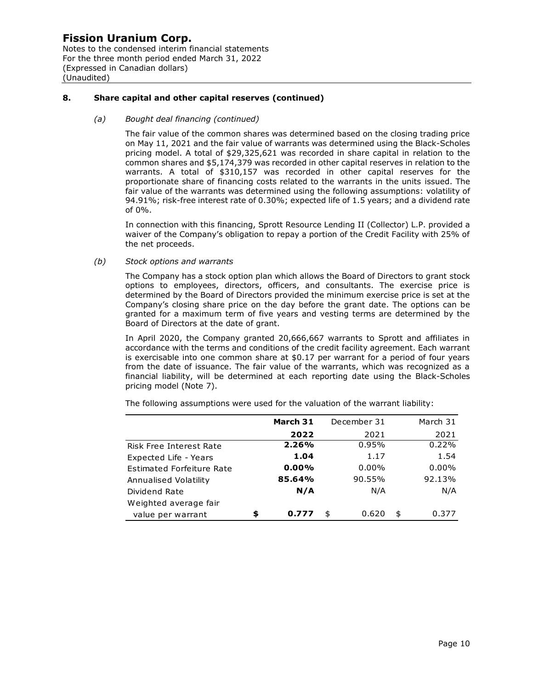Notes to the condensed interim financial statements For the three month period ended March 31, 2022 (Expressed in Canadian dollars) (Unaudited)

#### **8. Share capital and other capital reserves (continued)**

#### *(a) Bought deal financing (continued)*

The fair value of the common shares was determined based on the closing trading price on May 11, 2021 and the fair value of warrants was determined using the Black-Scholes pricing model. A total of \$29,325,621 was recorded in share capital in relation to the common shares and \$5,174,379 was recorded in other capital reserves in relation to the warrants. A total of \$310,157 was recorded in other capital reserves for the proportionate share of financing costs related to the warrants in the units issued. The fair value of the warrants was determined using the following assumptions: volatility of 94.91%; risk-free interest rate of 0.30%; expected life of 1.5 years; and a dividend rate of 0%.

In connection with this financing, Sprott Resource Lending II (Collector) L.P. provided a waiver of the Company's obligation to repay a portion of the Credit Facility with 25% of the net proceeds.

#### *(b) Stock options and warrants*

The Company has a stock option plan which allows the Board of Directors to grant stock options to employees, directors, officers, and consultants. The exercise price is determined by the Board of Directors provided the minimum exercise price is set at the Company's closing share price on the day before the grant date. The options can be granted for a maximum term of five years and vesting terms are determined by the Board of Directors at the date of grant.

In April 2020, the Company granted 20,666,667 warrants to Sprott and affiliates in accordance with the terms and conditions of the credit facility agreement. Each warrant is exercisable into one common share at  $$0.17$  per warrant for a period of four years from the date of issuance. The fair value of the warrants, which was recognized as a financial liability, will be determined at each reporting date using the Black-Scholes pricing model (Note 7).

|                           | March 31<br>December 31 |          |             |             | March 31 |
|---------------------------|-------------------------|----------|-------------|-------------|----------|
|                           |                         | 2022     | 2021        | 2021        |          |
| Risk Free Interest Rate   |                         | 2.26%    | 0.95%       | 0.22%       |          |
| Expected Life - Years     |                         | 1.04     | 1.17        | 1.54        |          |
| Estimated Forfeiture Rate |                         | $0.00\%$ | $0.00\%$    | $0.00\%$    |          |
| Annualised Volatility     |                         | 85.64%   | 90.55%      | 92.13%      |          |
| Dividend Rate             |                         | N/A      | N/A         | N/A         |          |
| Weighted average fair     |                         |          |             |             |          |
| value per warrant         | \$                      | 0.777    | \$<br>0.620 | \$<br>0.377 |          |

The following assumptions were used for the valuation of the warrant liability: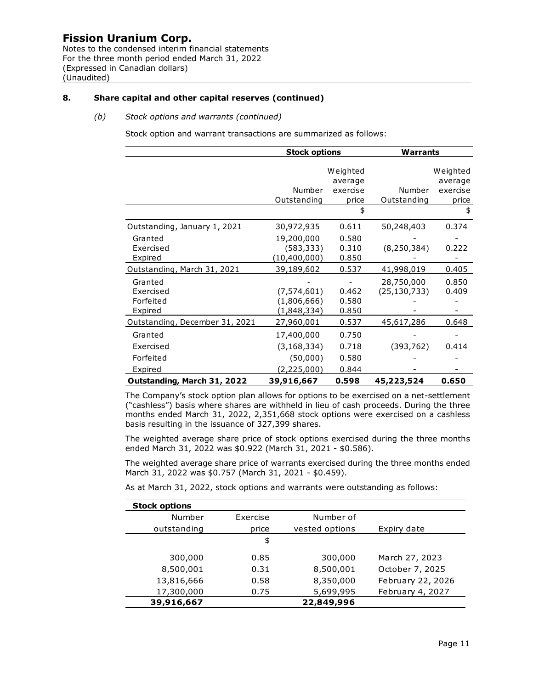Notes to the condensed interim financial statements For the three month period ended March 31, 2022 (Expressed in Canadian dollars) (Unaudited)

#### **8. Share capital and other capital reserves (continued)**

#### *(b) Stock options and warrants (continued)*

Stock option and warrant transactions are summarized as follows:

|                                              | <b>Stock options</b>                        |                                 | Warrants                     |                                 |  |
|----------------------------------------------|---------------------------------------------|---------------------------------|------------------------------|---------------------------------|--|
|                                              | Number                                      | Weighted<br>average<br>exercise | Number                       | Weighted<br>average<br>exercise |  |
|                                              | Outstanding                                 | price                           | Outstanding                  | price                           |  |
|                                              |                                             | \$                              |                              | \$                              |  |
| Outstanding, January 1, 2021                 | 30,972,935                                  | 0.611                           | 50,248,403                   | 0.374                           |  |
| Granted<br>Exercised<br>Expired              | 19,200,000<br>(583, 333)<br>(10, 400, 000)  | 0.580<br>0.310<br>0.850         | (8, 250, 384)                | 0.222                           |  |
| Outstanding, March 31, 2021                  | 39,189,602                                  | 0.537                           | 41,998,019                   | 0.405                           |  |
| Granted<br>Exercised<br>Forfeited<br>Expired | (7, 574, 601)<br>(1,806,666)<br>(1,848,334) | 0.462<br>0.580<br>0.850         | 28,750,000<br>(25, 130, 733) | 0.850<br>0.409                  |  |
| Outstanding, December 31, 2021               | 27,960,001                                  | 0.537                           | 45,617,286                   | 0.648                           |  |
| Granted<br>Exercised                         | 17,400,000<br>(3, 168, 334)                 | 0.750<br>0.718                  | (393, 762)                   | 0.414                           |  |
| Forfeited                                    | (50,000)                                    | 0.580                           |                              |                                 |  |
| Expired                                      | (2,225,000)                                 | 0.844                           |                              |                                 |  |
| Outstanding, March 31, 2022                  | 39,916,667                                  | 0.598                           | 45,223,524                   | 0.650                           |  |

The Company's stock option plan allows for options to be exercised on a net-settlement ("cashless") basis where shares are withheld in lieu of cash proceeds. During the three months ended March 31, 2022, 2,351,668 stock options were exercised on a cashless basis resulting in the issuance of 327,399 shares.

The weighted average share price of stock options exercised during the three months ended March 31, 2022 was \$0.922 (March 31, 2021 - \$0.586).

The weighted average share price of warrants exercised during the three months ended March 31, 2022 was \$0.757 (March 31, 2021 - \$0.459).

As at March 31, 2022, stock options and warrants were outstanding as follows:

| <b>Stock options</b> |          |                |                   |
|----------------------|----------|----------------|-------------------|
| Number               | Exercise | Number of      |                   |
| outstanding          | price    | vested options | Expiry date       |
|                      | \$       |                |                   |
| 300,000              | 0.85     | 300,000        | March 27, 2023    |
| 8,500,001            | 0.31     | 8,500,001      | October 7, 2025   |
| 13,816,666           | 0.58     | 8,350,000      | February 22, 2026 |
| 17,300,000           | 0.75     | 5,699,995      | February 4, 2027  |
| 39,916,667           |          | 22,849,996     |                   |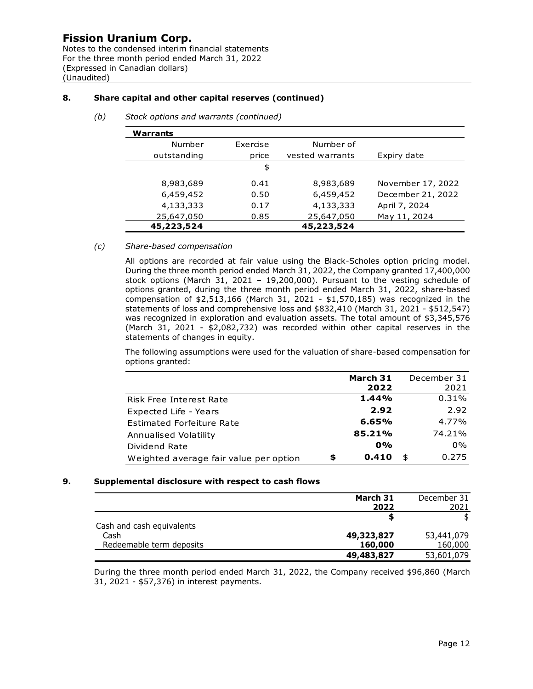Notes to the condensed interim financial statements For the three month period ended March 31, 2022 (Expressed in Canadian dollars) (Unaudited)

### **8. Share capital and other capital reserves (continued)**

| Warrants    |          |                 |                   |
|-------------|----------|-----------------|-------------------|
| Number      | Exercise | Number of       |                   |
| outstanding | price    | vested warrants | Expiry date       |
|             | \$       |                 |                   |
| 8,983,689   | 0.41     | 8,983,689       | November 17, 2022 |
| 6,459,452   | 0.50     | 6,459,452       | December 21, 2022 |
| 4,133,333   | 0.17     | 4,133,333       | April 7, 2024     |
| 25,647,050  | 0.85     | 25,647,050      | May 11, 2024      |
| 45,223,524  |          | 45,223,524      |                   |

*(b) Stock options and warrants (continued)*

#### *(c) Share-based compensation*

All options are recorded at fair value using the Black-Scholes option pricing model. During the three month period ended March 31, 2022, the Company granted 17,400,000 stock options (March 31, 2021 – 19,200,000). Pursuant to the vesting schedule of options granted, during the three month period ended March 31, 2022, share-based compensation of \$2,513,166 (March 31, 2021 - \$1,570,185) was recognized in the statements of loss and comprehensive loss and \$832,410 (March 31, 2021 - \$512,547) was recognized in exploration and evaluation assets. The total amount of \$3,345,576 (March 31, 2021 - \$2,082,732) was recorded within other capital reserves in the statements of changes in equity.

The following assumptions were used for the valuation of share-based compensation for options granted:

|                                        | March 31    | December 31 |
|----------------------------------------|-------------|-------------|
|                                        | 2022        | 2021        |
| Risk Free Interest Rate                | 1.44%       | 0.31%       |
| Expected Life - Years                  | 2.92        | 2.92        |
| Estimated Forfeiture Rate              | 6.65%       | 4.77%       |
| Annualised Volatility                  | 85.21%      | 74.21%      |
| Dividend Rate                          | $0\%$       | $0\%$       |
| Weighted average fair value per option | \$<br>0.410 | \$<br>0.275 |

#### **9. Supplemental disclosure with respect to cash flows**

|                           | March 31   | December 31 |
|---------------------------|------------|-------------|
|                           | 2022       | 2021        |
|                           |            |             |
| Cash and cash equivalents |            |             |
| Cash                      | 49,323,827 | 53,441,079  |
| Redeemable term deposits  | 160,000    | 160,000     |
|                           | 49,483,827 | 53,601,079  |

During the three month period ended March 31, 2022, the Company received \$96,860 (March 31, 2021 - \$57,376) in interest payments.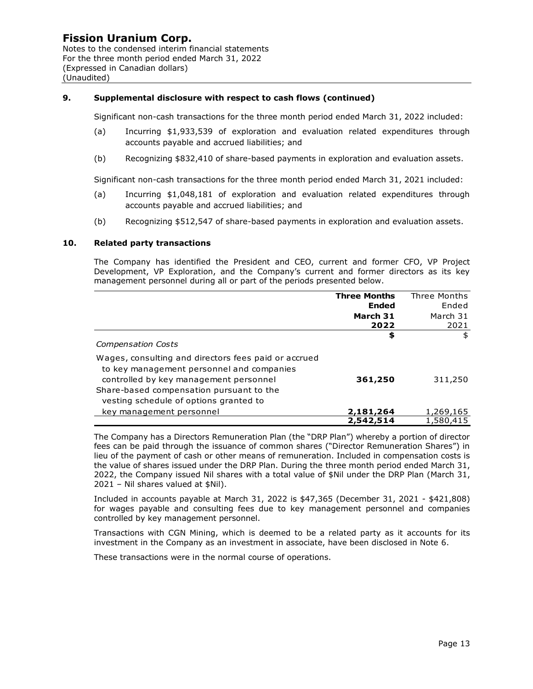Notes to the condensed interim financial statements For the three month period ended March 31, 2022 (Expressed in Canadian dollars) (Unaudited)

#### **9. Supplemental disclosure with respect to cash flows (continued)**

Significant non-cash transactions for the three month period ended March 31, 2022 included:

- (a) Incurring \$1,933,539 of exploration and evaluation related expenditures through accounts payable and accrued liabilities; and
- (b) Recognizing \$832,410 of share-based payments in exploration and evaluation assets.

Significant non-cash transactions for the three month period ended March 31, 2021 included:

- (a) Incurring \$1,048,181 of exploration and evaluation related expenditures through accounts payable and accrued liabilities; and
- (b) Recognizing \$512,547 of share-based payments in exploration and evaluation assets.

#### **10. Related party transactions**

The Company has identified the President and CEO, current and former CFO, VP Project Development, VP Exploration, and the Company's current and former directors as its key management personnel during all or part of the periods presented below.

|                                                                                                                                             | <b>Three Months</b> | Three Months |
|---------------------------------------------------------------------------------------------------------------------------------------------|---------------------|--------------|
|                                                                                                                                             | Ended               | Ended        |
|                                                                                                                                             | March 31            | March 31     |
|                                                                                                                                             | 2022                | 2021         |
| <b>Compensation Costs</b>                                                                                                                   | \$                  | \$           |
| Wages, consulting and directors fees paid or accrued<br>to key management personnel and companies<br>controlled by key management personnel | 361,250             | 311,250      |
| Share-based compensation pursuant to the<br>vesting schedule of options granted to                                                          |                     |              |
| key management personnel                                                                                                                    | 2,181,264           | 1,269,165    |
|                                                                                                                                             | 2,542,514           | 1,580,415    |

The Company has a Directors Remuneration Plan (the "DRP Plan") whereby a portion of director fees can be paid through the issuance of common shares ("Director Remuneration Shares") in lieu of the payment of cash or other means of remuneration. Included in compensation costs is the value of shares issued under the DRP Plan. During the three month period ended March 31, 2022, the Company issued Nil shares with a total value of \$Nil under the DRP Plan (March 31, 2021 – Nil shares valued at \$Nil).

Included in accounts payable at March 31, 2022 is \$47,365 (December 31, 2021 - \$421,808) for wages payable and consulting fees due to key management personnel and companies controlled by key management personnel.

Transactions with CGN Mining, which is deemed to be a related party as it accounts for its investment in the Company as an investment in associate, have been disclosed in Note 6.

These transactions were in the normal course of operations.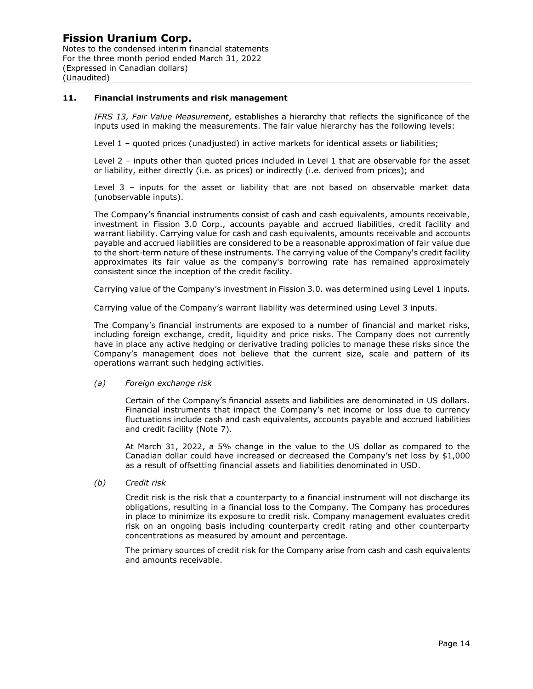Notes to the condensed interim financial statements For the three month period ended March 31, 2022 (Expressed in Canadian dollars) (Unaudited)

#### **11. Financial instruments and risk management**

*IFRS 13, Fair Value Measurement*, establishes a hierarchy that reflects the significance of the inputs used in making the measurements. The fair value hierarchy has the following levels:

Level 1 – quoted prices (unadjusted) in active markets for identical assets or liabilities;

Level 2 – inputs other than quoted prices included in Level 1 that are observable for the asset or liability, either directly (i.e. as prices) or indirectly (i.e. derived from prices); and

Level 3 – inputs for the asset or liability that are not based on observable market data (unobservable inputs).

The Company's financial instruments consist of cash and cash equivalents, amounts receivable, investment in Fission 3.0 Corp., accounts payable and accrued liabilities, credit facility and warrant liability. Carrying value for cash and cash equivalents, amounts receivable and accounts payable and accrued liabilities are considered to be a reasonable approximation of fair value due to the short-term nature of these instruments. The carrying value of the Company's credit facility approximates its fair value as the company's borrowing rate has remained approximately consistent since the inception of the credit facility.

Carrying value of the Company's investment in Fission 3.0. was determined using Level 1 inputs.

Carrying value of the Company's warrant liability was determined using Level 3 inputs.

The Company's financial instruments are exposed to a number of financial and market risks, including foreign exchange, credit, liquidity and price risks. The Company does not currently have in place any active hedging or derivative trading policies to manage these risks since the Company's management does not believe that the current size, scale and pattern of its operations warrant such hedging activities.

#### *(a) Foreign exchange risk*

Certain of the Company's financial assets and liabilities are denominated in US dollars. Financial instruments that impact the Company's net income or loss due to currency fluctuations include cash and cash equivalents, accounts payable and accrued liabilities and credit facility (Note 7).

At March 31, 2022, a 5% change in the value to the US dollar as compared to the Canadian dollar could have increased or decreased the Company's net loss by \$1,000 as a result of offsetting financial assets and liabilities denominated in USD.

*(b) Credit risk*

Credit risk is the risk that a counterparty to a financial instrument will not discharge its obligations, resulting in a financial loss to the Company. The Company has procedures in place to minimize its exposure to credit risk. Company management evaluates credit risk on an ongoing basis including counterparty credit rating and other counterparty concentrations as measured by amount and percentage.

The primary sources of credit risk for the Company arise from cash and cash equivalents and amounts receivable.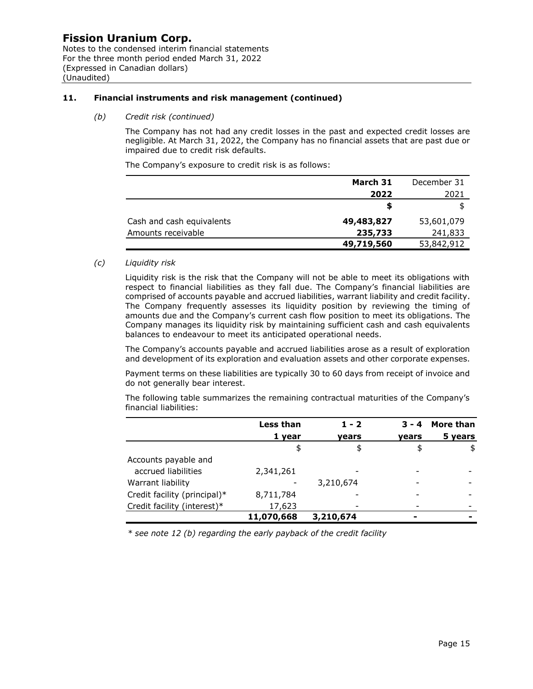Notes to the condensed interim financial statements For the three month period ended March 31, 2022 (Expressed in Canadian dollars) (Unaudited)

#### **11. Financial instruments and risk management (continued)**

*(b) Credit risk (continued)*

The Company has not had any credit losses in the past and expected credit losses are negligible. At March 31, 2022, the Company has no financial assets that are past due or impaired due to credit risk defaults.

The Company's exposure to credit risk is as follows:

|                           | March 31   | December 31 |
|---------------------------|------------|-------------|
|                           | 2022       | 2021        |
|                           |            |             |
| Cash and cash equivalents | 49,483,827 | 53,601,079  |
| Amounts receivable        | 235,733    | 241,833     |
|                           | 49,719,560 | 53,842,912  |

#### *(c) Liquidity risk*

Liquidity risk is the risk that the Company will not be able to meet its obligations with respect to financial liabilities as they fall due. The Company's financial liabilities are comprised of accounts payable and accrued liabilities, warrant liability and credit facility. The Company frequently assesses its liquidity position by reviewing the timing of amounts due and the Company's current cash flow position to meet its obligations. The Company manages its liquidity risk by maintaining sufficient cash and cash equivalents balances to endeavour to meet its anticipated operational needs.

The Company's accounts payable and accrued liabilities arose as a result of exploration and development of its exploration and evaluation assets and other corporate expenses.

Payment terms on these liabilities are typically 30 to 60 days from receipt of invoice and do not generally bear interest.

The following table summarizes the remaining contractual maturities of the Company's financial liabilities:

|                              | Less than  | $1 - 2$   | $3 - 4$ | More than |
|------------------------------|------------|-----------|---------|-----------|
|                              | 1 year     | vears     | vears   | 5 years   |
|                              | \$         | \$        | \$      | \$        |
| Accounts payable and         |            |           |         |           |
| accrued liabilities          | 2,341,261  |           |         |           |
| Warrant liability            |            | 3,210,674 |         |           |
| Credit facility (principal)* | 8,711,784  |           |         |           |
| Credit facility (interest)*  | 17,623     |           |         |           |
|                              | 11,070,668 | 3,210,674 | -       |           |

*\* see note 12 (b) regarding the early payback of the credit facility*